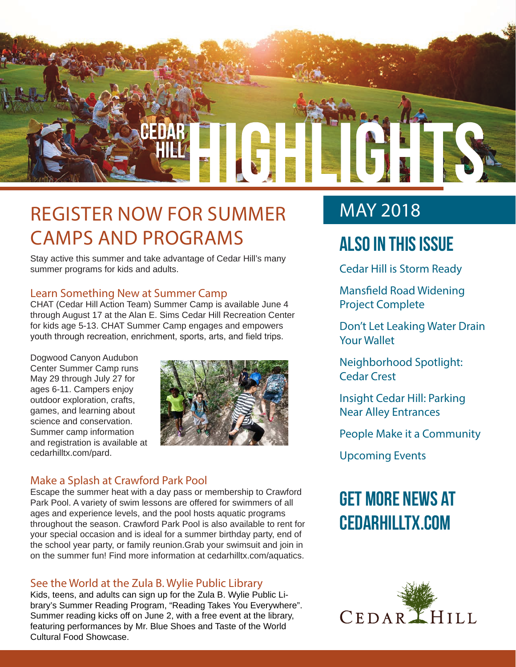

## REGISTER NOW FOR SUMMER CAMPS AND PROGRAMS

Stay active this summer and take advantage of Cedar Hill's many summer programs for kids and adults.

## Learn Something New at Summer Camp

CHAT (Cedar Hill Action Team) Summer Camp is available June 4 through August 17 at the Alan E. Sims Cedar Hill Recreation Center for kids age 5-13. CHAT Summer Camp engages and empowers youth through recreation, enrichment, sports, arts, and field trips.

Dogwood Canyon Audubon Center Summer Camp runs May 29 through July 27 for ages 6-11. Campers enjoy outdoor exploration, crafts, games, and learning about science and conservation. Summer camp information and registration is available at cedarhilltx.com/pard.



## Make a Splash at Crawford Park Pool

Escape the summer heat with a day pass or membership to Crawford Park Pool. A variety of swim lessons are offered for swimmers of all ages and experience levels, and the pool hosts aquatic programs throughout the season. Crawford Park Pool is also available to rent for your special occasion and is ideal for a summer birthday party, end of the school year party, or family reunion.Grab your swimsuit and join in on the summer fun! Find more information at cedarhilltx.com/aquatics.

## See the World at the Zula B. Wylie Public Library

Kids, teens, and adults can sign up for the Zula B. Wylie Public Library's Summer Reading Program, "Reading Takes You Everywhere". Summer reading kicks off on June 2, with a free event at the library, featuring performances by Mr. Blue Shoes and Taste of the World Cultural Food Showcase.

## MAY 2018

## **Also In this Issue**

Cedar Hill is Storm Ready

Mansfield Road Widening Project Complete

Don't Let Leaking Water Drain Your Wallet

Neighborhood Spotlight: Cedar Crest

Insight Cedar Hill: Parking Near Alley Entrances

People Make it a Community

Upcoming Events

# **Get more news at cedarhilltx.com**

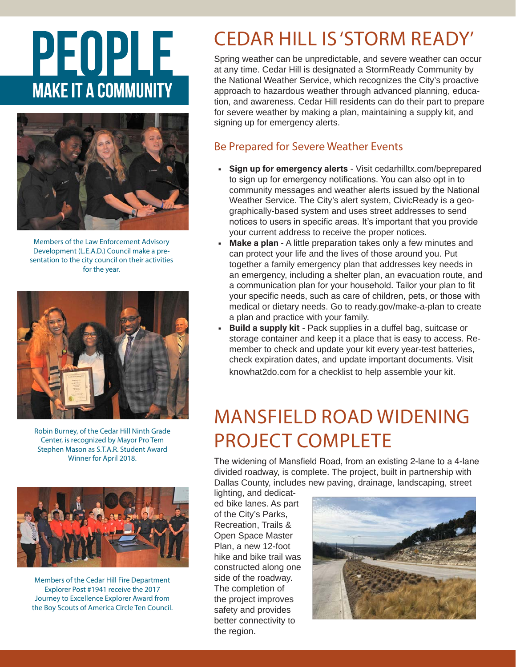# PEOPLE **MAKE IT A COMMUNITY**



Members of the Law Enforcement Advisory Development (L.E.A.D.) Council make a presentation to the city council on their activities for the year.



Robin Burney, of the Cedar Hill Ninth Grade Center, is recognized by Mayor Pro Tem Stephen Mason as S.T.A.R. Student Award Winner for April 2018.



Members of the Cedar Hill Fire Department Explorer Post #1941 receive the 2017 Journey to Excellence Explorer Award from the Boy Scouts of America Circle Ten Council.

# CEDAR HILL IS 'STORM READY'

Spring weather can be unpredictable, and severe weather can occur at any time. Cedar Hill is designated a StormReady Community by the National Weather Service, which recognizes the City's proactive approach to hazardous weather through advanced planning, education, and awareness. Cedar Hill residents can do their part to prepare for severe weather by making a plan, maintaining a supply kit, and signing up for emergency alerts.

## Be Prepared for Severe Weather Events

- **Sign up for emergency alerts** Visit cedarhilltx.com/beprepared to sign up for emergency notifications. You can also opt in to community messages and weather alerts issued by the National Weather Service. The City's alert system, CivicReady is a geographically-based system and uses street addresses to send notices to users in specific areas. It's important that you provide your current address to receive the proper notices.
- **• Make a plan**  A little preparation takes only a few minutes and can protect your life and the lives of those around you. Put together a family emergency plan that addresses key needs in an emergency, including a shelter plan, an evacuation route, and a communication plan for your household. Tailor your plan to fit your specific needs, such as care of children, pets, or those with medical or dietary needs. Go to ready.gov/make-a-plan to create a plan and practice with your family.
- **• Build a supply kit** Pack supplies in a duffel bag, suitcase or storage container and keep it a place that is easy to access. Remember to check and update your kit every year-test batteries, check expiration dates, and update important documents. Visit knowhat2do.com for a checklist to help assemble your kit.

# MANSFIELD ROAD WIDENING PROJECT COMPLETE

The widening of Mansfield Road, from an existing 2-lane to a 4-lane divided roadway, is complete. The project, built in partnership with Dallas County, includes new paving, drainage, landscaping, street

lighting, and dedicated bike lanes. As part of the City's Parks, Recreation, Trails & Open Space Master Plan, a new 12-foot hike and bike trail was constructed along one side of the roadway. The completion of the project improves safety and provides better connectivity to the region.

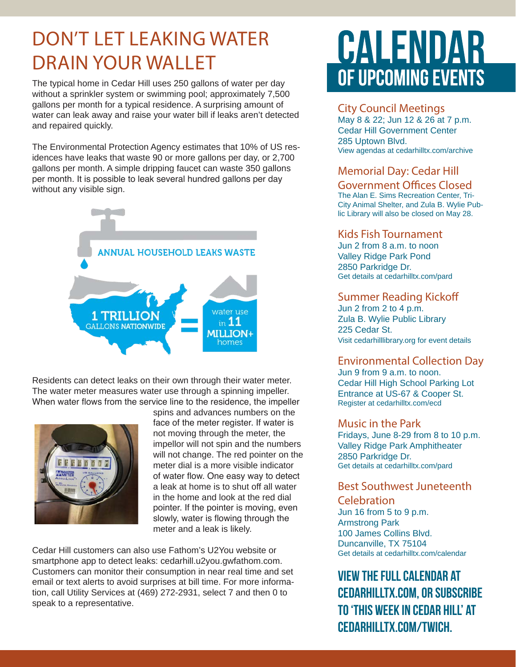# DON'T LET LEAKING WATER DRAIN YOUR WALLET

The typical home in Cedar Hill uses 250 gallons of water per day without a sprinkler system or swimming pool; approximately 7,500 gallons per month for a typical residence. A surprising amount of water can leak away and raise your water bill if leaks aren't detected and repaired quickly.

The Environmental Protection Agency estimates that 10% of US residences have leaks that waste 90 or more gallons per day, or 2,700 gallons per month. A simple dripping faucet can waste 350 gallons per month. It is possible to leak several hundred gallons per day without any visible sign.



Residents can detect leaks on their own through their water meter. The water meter measures water use through a spinning impeller. When water flows from the service line to the residence, the impeller



spins and advances numbers on the face of the meter register. If water is not moving through the meter, the impellor will not spin and the numbers will not change. The red pointer on the meter dial is a more visible indicator of water flow. One easy way to detect a leak at home is to shut off all water in the home and look at the red dial pointer. If the pointer is moving, even slowly, water is flowing through the meter and a leak is likely.

Cedar Hill customers can also use Fathom's U2You website or smartphone app to detect leaks: cedarhill.u2you.gwfathom.com. Customers can monitor their consumption in near real time and set email or text alerts to avoid surprises at bill time. For more information, call Utility Services at (469) 272-2931, select 7 and then 0 to speak to a representative.

# CALENDAR OF UPCOMING EVENTS

## City Council Meetings

May 8 & 22; Jun 12 & 26 at 7 p.m. Cedar Hill Government Center 285 Uptown Blvd. View agendas at cedarhilltx.com/archive

## Memorial Day: Cedar Hill

Government Offices Closed The Alan E. Sims Recreation Center, Tri-City Animal Shelter, and Zula B. Wylie Pub-

lic Library will also be closed on May 28.

## Kids Fish Tournament

Jun 2 from 8 a.m. to noon Valley Ridge Park Pond 2850 Parkridge Dr. Get details at cedarhilltx.com/pard

### Summer Reading Kickoff

Jun 2 from 2 to 4 p.m. Zula B. Wylie Public Library 225 Cedar St. Visit cedarhilllibrary.org for event details

## Environmental Collection Day

Jun 9 from 9 a.m. to noon. Cedar Hill High School Parking Lot Entrance at US-67 & Cooper St. Register at cedarhilltx.com/ecd

### Music in the Park

Fridays, June 8-29 from 8 to 10 p.m. Valley Ridge Park Amphitheater 2850 Parkridge Dr. Get details at cedarhilltx.com/pard

## Best Southwest Juneteenth

### **Celebration**

Jun 16 from 5 to 9 p.m. Armstrong Park 100 James Collins Blvd. Duncanville, TX 75104 Get details at cedarhilltx.com/calendar

**View the full calendar at cedarhilltx.com, or subscribe to 'This Week in Cedar Hill' at cedarhilltx.com/twich.**